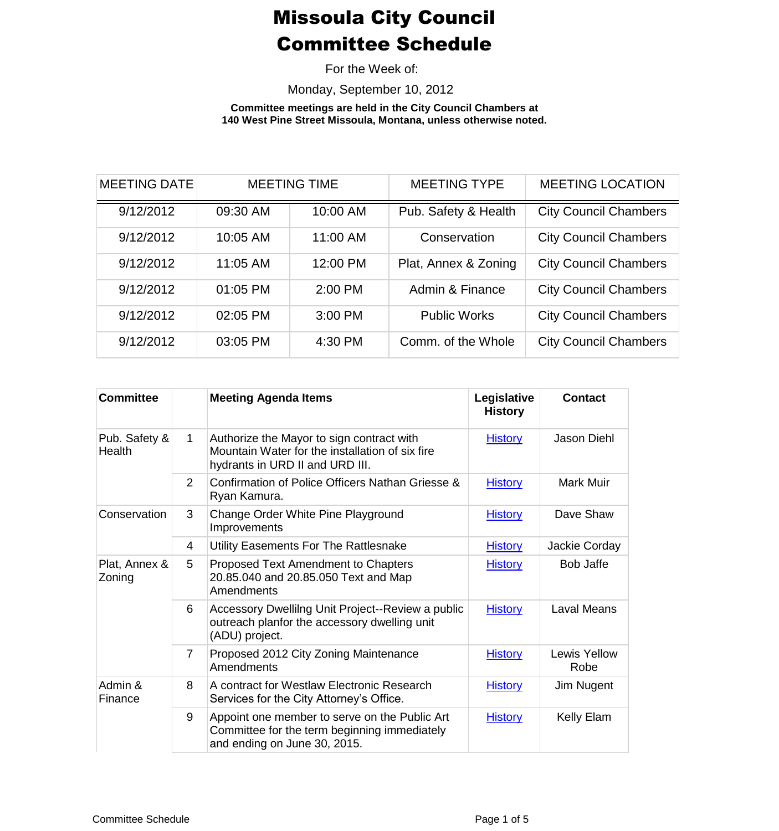For the Week of:

Monday, September 10, 2012

**Committee meetings are held in the City Council Chambers at 140 West Pine Street Missoula, Montana, unless otherwise noted.**

| <b>MEETING DATE</b> | <b>MEETING TIME</b> |          | <b>MEETING TYPE</b>  | <b>MEETING LOCATION</b>      |
|---------------------|---------------------|----------|----------------------|------------------------------|
| 9/12/2012           | 09:30 AM            | 10:00 AM | Pub. Safety & Health | <b>City Council Chambers</b> |
| 9/12/2012           | 10:05 AM            | 11:00 AM | Conservation         | <b>City Council Chambers</b> |
| 9/12/2012           | 11:05 AM            | 12:00 PM | Plat, Annex & Zoning | <b>City Council Chambers</b> |
| 9/12/2012           | 01:05 PM            | 2:00 PM  | Admin & Finance      | <b>City Council Chambers</b> |
| 9/12/2012           | 02:05 PM            | 3:00 PM  | <b>Public Works</b>  | <b>City Council Chambers</b> |
| 9/12/2012           | 03:05 PM            | 4:30 PM  | Comm. of the Whole   | <b>City Council Chambers</b> |

| <b>Committee</b>        |                | <b>Meeting Agenda Items</b>                                                                                                     | Legislative<br><b>History</b> | <b>Contact</b>              |
|-------------------------|----------------|---------------------------------------------------------------------------------------------------------------------------------|-------------------------------|-----------------------------|
| Pub. Safety &<br>Health | $\mathbf 1$    | Authorize the Mayor to sign contract with<br>Mountain Water for the installation of six fire<br>hydrants in URD II and URD III. | <b>History</b>                | Jason Diehl                 |
|                         | $\overline{2}$ | Confirmation of Police Officers Nathan Griesse &<br>Ryan Kamura.                                                                | <b>History</b>                | Mark Muir                   |
| Conservation            | 3              | Change Order White Pine Playground<br>Improvements                                                                              | <b>History</b>                | Dave Shaw                   |
|                         | 4              | Utility Easements For The Rattlesnake                                                                                           | <b>History</b>                | Jackie Corday               |
| Plat, Annex &<br>Zoning | 5              | Proposed Text Amendment to Chapters<br>20.85.040 and 20.85.050 Text and Map<br>Amendments                                       | <b>History</b>                | <b>Bob Jaffe</b>            |
|                         | 6              | Accessory Dwellilng Unit Project--Review a public<br>outreach planfor the accessory dwelling unit<br>(ADU) project.             | <b>History</b>                | <b>Laval Means</b>          |
|                         | $\overline{7}$ | Proposed 2012 City Zoning Maintenance<br>Amendments                                                                             | <b>History</b>                | <b>Lewis Yellow</b><br>Robe |
| Admin &<br>Finance      | 8              | A contract for Westlaw Electronic Research<br>Services for the City Attorney's Office.                                          | <b>History</b>                | Jim Nugent                  |
|                         | 9              | Appoint one member to serve on the Public Art<br>Committee for the term beginning immediately<br>and ending on June 30, 2015.   | <b>History</b>                | Kelly Elam                  |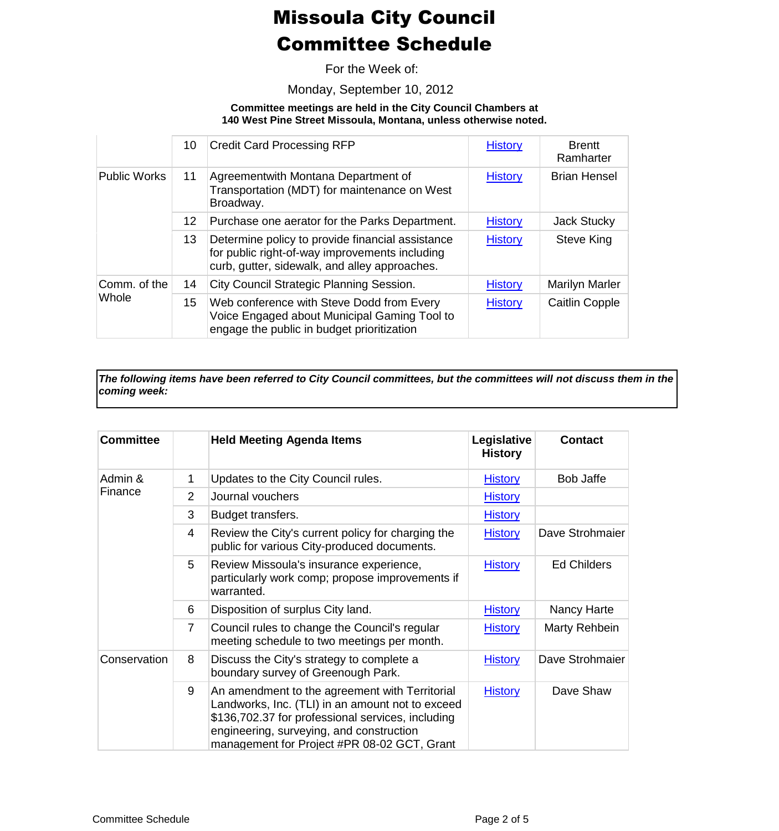For the Week of:

Monday, September 10, 2012

#### **Committee meetings are held in the City Council Chambers at 140 West Pine Street Missoula, Montana, unless otherwise noted.**

|                       | 10               | <b>Credit Card Processing RFP</b>                                                                                                                   | <b>History</b> | <b>Brentt</b><br>Ramharter |
|-----------------------|------------------|-----------------------------------------------------------------------------------------------------------------------------------------------------|----------------|----------------------------|
| <b>Public Works</b>   | 11               | Agreementwith Montana Department of<br>Transportation (MDT) for maintenance on West<br>Broadway.                                                    | <b>History</b> | <b>Brian Hensel</b>        |
|                       | 12 <sup>12</sup> | Purchase one aerator for the Parks Department.                                                                                                      | <b>History</b> | Jack Stucky                |
|                       | 13               | Determine policy to provide financial assistance<br>for public right-of-way improvements including<br>curb, gutter, sidewalk, and alley approaches. | <b>History</b> | Steve King                 |
| Comm. of the<br>Whole | 14               | City Council Strategic Planning Session.                                                                                                            | <b>History</b> | Marilyn Marler             |
|                       | 15               | Web conference with Steve Dodd from Every<br>Voice Engaged about Municipal Gaming Tool to<br>engage the public in budget prioritization             | <b>History</b> | <b>Caitlin Copple</b>      |

*The following items have been referred to City Council committees, but the committees will not discuss them in the coming week:*

| <b>Committee</b>   |                | <b>Held Meeting Agenda Items</b>                                                                                                                                                                                                                   | Legislative<br><b>History</b> | <b>Contact</b>     |
|--------------------|----------------|----------------------------------------------------------------------------------------------------------------------------------------------------------------------------------------------------------------------------------------------------|-------------------------------|--------------------|
| Admin &<br>Finance | 1              | Updates to the City Council rules.                                                                                                                                                                                                                 | <b>History</b>                | Bob Jaffe          |
|                    | $\overline{2}$ | Journal vouchers                                                                                                                                                                                                                                   | <b>History</b>                |                    |
|                    | 3              | Budget transfers.                                                                                                                                                                                                                                  | <b>History</b>                |                    |
|                    | 4              | Review the City's current policy for charging the<br>public for various City-produced documents.                                                                                                                                                   | <b>History</b>                | Dave Strohmaier    |
|                    | 5              | Review Missoula's insurance experience,<br>particularly work comp; propose improvements if<br>warranted.                                                                                                                                           | <b>History</b>                | <b>Ed Childers</b> |
|                    | 6              | Disposition of surplus City land.                                                                                                                                                                                                                  | <b>History</b>                | Nancy Harte        |
|                    | $\overline{7}$ | Council rules to change the Council's regular<br>meeting schedule to two meetings per month.                                                                                                                                                       | <b>History</b>                | Marty Rehbein      |
| Conservation       | 8              | Discuss the City's strategy to complete a<br>boundary survey of Greenough Park.                                                                                                                                                                    | <b>History</b>                | Dave Strohmaier    |
|                    | 9              | An amendment to the agreement with Territorial<br>Landworks, Inc. (TLI) in an amount not to exceed<br>\$136,702.37 for professional services, including<br>engineering, surveying, and construction<br>management for Project #PR 08-02 GCT, Grant | <b>History</b>                | Dave Shaw          |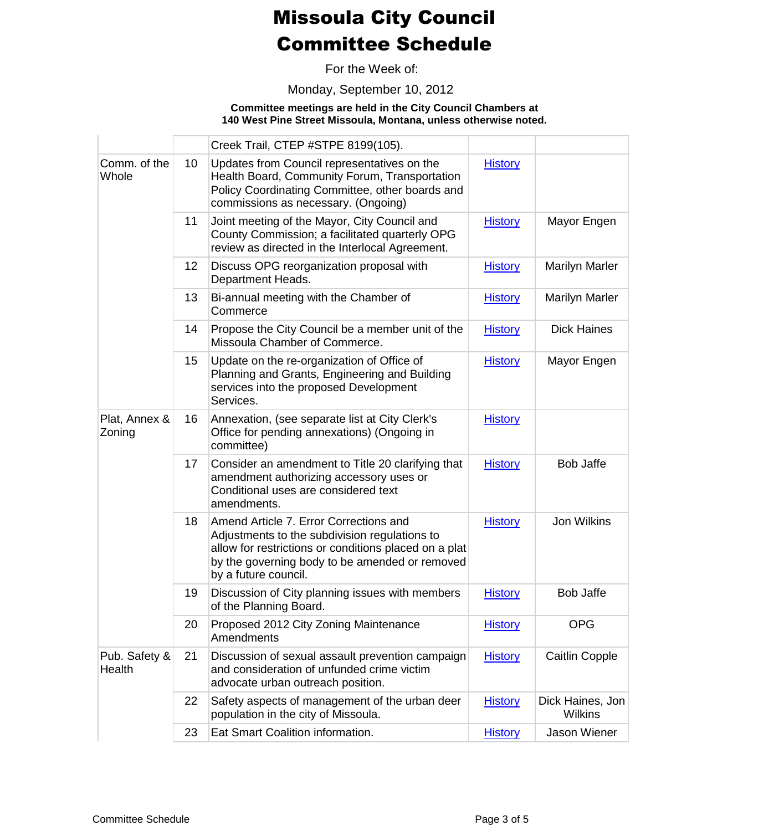For the Week of:

Monday, September 10, 2012

#### **Committee meetings are held in the City Council Chambers at 140 West Pine Street Missoula, Montana, unless otherwise noted.**

|                         |                 | Creek Trail, CTEP #STPE 8199(105).                                                                                                                                                                                         |                |                                    |
|-------------------------|-----------------|----------------------------------------------------------------------------------------------------------------------------------------------------------------------------------------------------------------------------|----------------|------------------------------------|
| Comm. of the<br>Whole   | 10 <sup>°</sup> | Updates from Council representatives on the<br>Health Board, Community Forum, Transportation<br>Policy Coordinating Committee, other boards and<br>commissions as necessary. (Ongoing)                                     | <b>History</b> |                                    |
|                         | 11              | Joint meeting of the Mayor, City Council and<br>County Commission; a facilitated quarterly OPG<br>review as directed in the Interlocal Agreement.                                                                          | <b>History</b> | Mayor Engen                        |
|                         | 12              | Discuss OPG reorganization proposal with<br>Department Heads.                                                                                                                                                              | <b>History</b> | <b>Marilyn Marler</b>              |
|                         | 13              | Bi-annual meeting with the Chamber of<br>Commerce                                                                                                                                                                          | <b>History</b> | <b>Marilyn Marler</b>              |
|                         | 14              | Propose the City Council be a member unit of the<br>Missoula Chamber of Commerce.                                                                                                                                          | <b>History</b> | <b>Dick Haines</b>                 |
|                         | 15              | Update on the re-organization of Office of<br>Planning and Grants, Engineering and Building<br>services into the proposed Development<br>Services.                                                                         | <b>History</b> | Mayor Engen                        |
| Plat, Annex &<br>Zoning | 16              | Annexation, (see separate list at City Clerk's<br>Office for pending annexations) (Ongoing in<br>committee)                                                                                                                | <b>History</b> |                                    |
|                         | 17              | Consider an amendment to Title 20 clarifying that<br>amendment authorizing accessory uses or<br>Conditional uses are considered text<br>amendments.                                                                        | <b>History</b> | <b>Bob Jaffe</b>                   |
|                         | 18              | Amend Article 7. Error Corrections and<br>Adjustments to the subdivision regulations to<br>allow for restrictions or conditions placed on a plat<br>by the governing body to be amended or removed<br>by a future council. | <b>History</b> | Jon Wilkins                        |
|                         | 19              | Discussion of City planning issues with members<br>of the Planning Board.                                                                                                                                                  | <b>History</b> | <b>Bob Jaffe</b>                   |
|                         | 20              | Proposed 2012 City Zoning Maintenance<br>Amendments                                                                                                                                                                        | <b>History</b> | <b>OPG</b>                         |
| Pub. Safety &<br>Health | 21              | Discussion of sexual assault prevention campaign<br>and consideration of unfunded crime victim<br>advocate urban outreach position.                                                                                        | <b>History</b> | <b>Caitlin Copple</b>              |
|                         | 22              | Safety aspects of management of the urban deer<br>population in the city of Missoula.                                                                                                                                      | <b>History</b> | Dick Haines, Jon<br><b>Wilkins</b> |
|                         | 23              | Eat Smart Coalition information.                                                                                                                                                                                           | <b>History</b> | <b>Jason Wiener</b>                |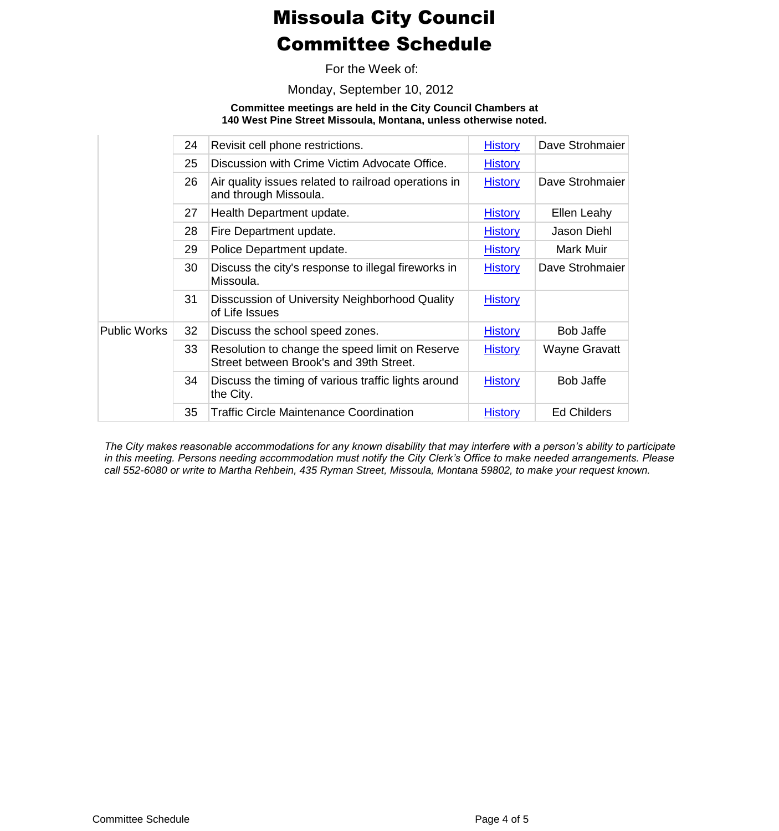For the Week of:

Monday, September 10, 2012

**Committee meetings are held in the City Council Chambers at 140 West Pine Street Missoula, Montana, unless otherwise noted.**

|    | Revisit cell phone restrictions.                                                           | <b>History</b> | Dave Strohmaier      |
|----|--------------------------------------------------------------------------------------------|----------------|----------------------|
| 25 | Discussion with Crime Victim Advocate Office.                                              | <b>History</b> |                      |
| 26 | Air quality issues related to railroad operations in<br>and through Missoula.              | <b>History</b> | Dave Strohmaier      |
| 27 | Health Department update.                                                                  | <b>History</b> | Ellen Leahy          |
| 28 | Fire Department update.                                                                    | <b>History</b> | Jason Diehl          |
| 29 | Police Department update.                                                                  | <b>History</b> | Mark Muir            |
| 30 | Discuss the city's response to illegal fireworks in<br>Missoula.                           | <b>History</b> | Dave Strohmaier      |
| 31 | Disscussion of University Neighborhood Quality<br>of Life Issues                           | <b>History</b> |                      |
| 32 | Discuss the school speed zones.                                                            | <b>History</b> | Bob Jaffe            |
| 33 | Resolution to change the speed limit on Reserve<br>Street between Brook's and 39th Street. | <b>History</b> | <b>Wayne Gravatt</b> |
| 34 | Discuss the timing of various traffic lights around<br>the City.                           | <b>History</b> | Bob Jaffe            |
| 35 | <b>Traffic Circle Maintenance Coordination</b>                                             | <b>History</b> | <b>Ed Childers</b>   |
|    | 24                                                                                         |                |                      |

*The City makes reasonable accommodations for any known disability that may interfere with a person's ability to participate in this meeting. Persons needing accommodation must notify the City Clerk's Office to make needed arrangements. Please call 552-6080 or write to Martha Rehbein, 435 Ryman Street, Missoula, Montana 59802, to make your request known.*